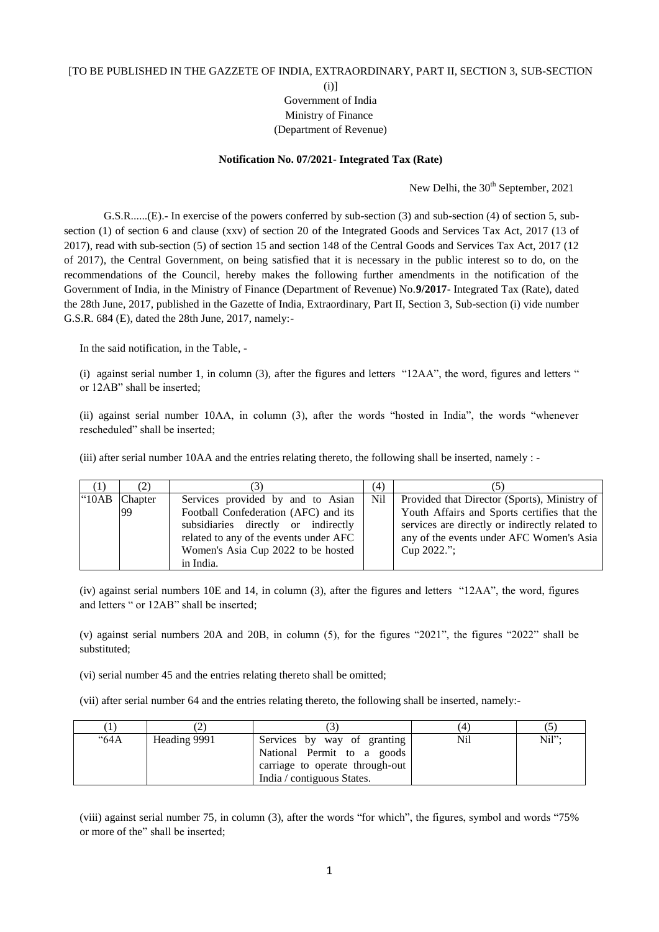## [TO BE PUBLISHED IN THE GAZZETE OF INDIA, EXTRAORDINARY, PART II, SECTION 3, SUB-SECTION

(i)]

## Government of India Ministry of Finance (Department of Revenue)

## **Notification No. 07/2021- Integrated Tax (Rate)**

New Delhi, the 30<sup>th</sup> September, 2021

G.S.R......(E).- In exercise of the powers conferred by sub-section (3) and sub-section (4) of section 5, subsection (1) of section 6 and clause (xxv) of section 20 of the Integrated Goods and Services Tax Act, 2017 (13 of 2017), read with sub-section (5) of section 15 and section 148 of the Central Goods and Services Tax Act, 2017 (12 of 2017), the Central Government, on being satisfied that it is necessary in the public interest so to do, on the recommendations of the Council, hereby makes the following further amendments in the notification of the Government of India, in the Ministry of Finance (Department of Revenue) No.**9/2017**- Integrated Tax (Rate), dated the 28th June, 2017, published in the Gazette of India, Extraordinary, Part II, Section 3, Sub-section (i) vide number G.S.R. 684 (E), dated the 28th June, 2017, namely:-

In the said notification, in the Table, -

(i) against serial number 1, in column (3), after the figures and letters "12AA", the word, figures and letters " or 12AB" shall be inserted;

(ii) against serial number 10AA, in column (3), after the words "hosted in India", the words "whenever rescheduled" shall be inserted;

(iii) after serial number 10AA and the entries relating thereto, the following shall be inserted, namely : -

| (1)   | (2)           |                                                                                                                                                                                                  | (4)             |                                                                                                                                                                                                          |
|-------|---------------|--------------------------------------------------------------------------------------------------------------------------------------------------------------------------------------------------|-----------------|----------------------------------------------------------------------------------------------------------------------------------------------------------------------------------------------------------|
| "10AB | Chapter<br>99 | Services provided by and to Asian<br>Football Confederation (AFC) and its<br>subsidiaries directly or indirectly<br>related to any of the events under AFC<br>Women's Asia Cup 2022 to be hosted | N <sub>il</sub> | Provided that Director (Sports), Ministry of<br>Youth Affairs and Sports certifies that the<br>services are directly or indirectly related to<br>any of the events under AFC Women's Asia<br>Cup 2022."; |
|       |               | in India.                                                                                                                                                                                        |                 |                                                                                                                                                                                                          |

(iv) against serial numbers 10E and 14, in column (3), after the figures and letters "12AA", the word, figures and letters " or 12AB" shall be inserted;

(v) against serial numbers 20A and 20B, in column (5), for the figures "2021", the figures "2022" shall be substituted;

(vi) serial number 45 and the entries relating thereto shall be omitted;

(vii) after serial number 64 and the entries relating thereto, the following shall be inserted, namely:-

| "64A | Heading 9991 | Services by way of granting<br>National Permit to a goods<br>carriage to operate through-out<br>India / contiguous States. | Nil | Nil"; |
|------|--------------|----------------------------------------------------------------------------------------------------------------------------|-----|-------|

(viii) against serial number 75, in column (3), after the words "for which", the figures, symbol and words "75% or more of the" shall be inserted;